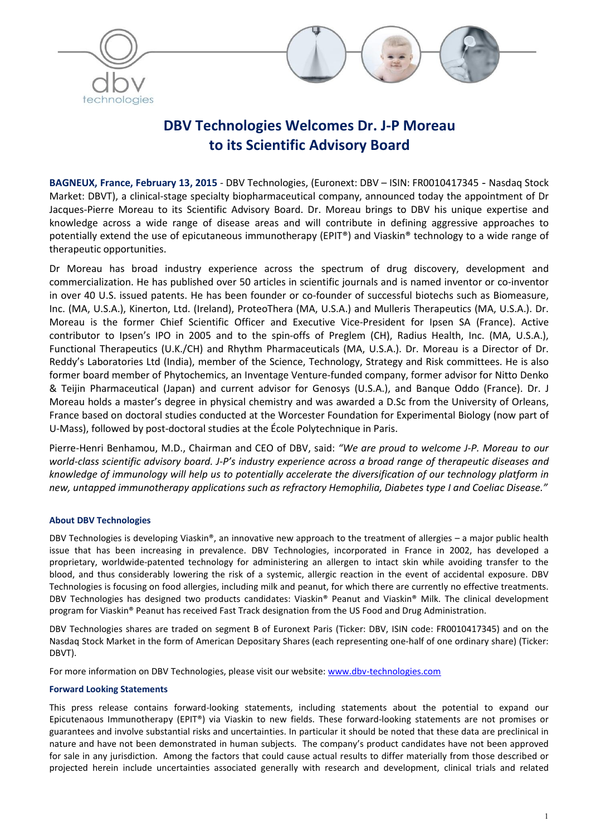



# DBV Technologies Welcomes Dr. J-P Moreau to its Scientific Advisory Board

BAGNEUX, France, February 13, 2015 - DBV Technologies, (Euronext: DBV – ISIN: FR0010417345 - Nasdaq Stock Market: DBVT), a clinical-stage specialty biopharmaceutical company, announced today the appointment of Dr Jacques-Pierre Moreau to its Scientific Advisory Board. Dr. Moreau brings to DBV his unique expertise and knowledge across a wide range of disease areas and will contribute in defining aggressive approaches to potentially extend the use of epicutaneous immunotherapy (EPIT®) and Viaskin® technology to a wide range of therapeutic opportunities.

Dr Moreau has broad industry experience across the spectrum of drug discovery, development and commercialization. He has published over 50 articles in scientific journals and is named inventor or co-inventor in over 40 U.S. issued patents. He has been founder or co-founder of successful biotechs such as Biomeasure, Inc. (MA, U.S.A.), Kinerton, Ltd. (Ireland), ProteoThera (MA, U.S.A.) and Mulleris Therapeutics (MA, U.S.A.). Dr. Moreau is the former Chief Scientific Officer and Executive Vice-President for Ipsen SA (France). Active contributor to Ipsen's IPO in 2005 and to the spin-offs of Preglem (CH), Radius Health, Inc. (MA, U.S.A.), Functional Therapeutics (U.K./CH) and Rhythm Pharmaceuticals (MA, U.S.A.). Dr. Moreau is a Director of Dr. Reddy's Laboratories Ltd (India), member of the Science, Technology, Strategy and Risk committees. He is also former board member of Phytochemics, an Inventage Venture-funded company, former advisor for Nitto Denko & Teijin Pharmaceutical (Japan) and current advisor for Genosys (U.S.A.), and Banque Oddo (France). Dr. J Moreau holds a master's degree in physical chemistry and was awarded a D.Sc from the University of Orleans, France based on doctoral studies conducted at the Worcester Foundation for Experimental Biology (now part of U-Mass), followed by post-doctoral studies at the École Polytechnique in Paris.

Pierre-Henri Benhamou, M.D., Chairman and CEO of DBV, said: *"We are proud to welcome J-P. Moreau to our world-class scientific advisory board. J-P's industry experience across a broad range of therapeutic diseases and knowledge of immunology will help us to potentially accelerate the diversification of our technology platform in new, untapped immunotherapy applications such as refractory Hemophilia, Diabetes type I and Coeliac Disease."*

## About DBV Technologies

DBV Technologies is developing Viaskin®, an innovative new approach to the treatment of allergies – a major public health issue that has been increasing in prevalence. DBV Technologies, incorporated in France in 2002, has developed a proprietary, worldwide-patented technology for administering an allergen to intact skin while avoiding transfer to the blood, and thus considerably lowering the risk of a systemic, allergic reaction in the event of accidental exposure. DBV Technologies is focusing on food allergies, including milk and peanut, for which there are currently no effective treatments. DBV Technologies has designed two products candidates: Viaskin® Peanut and Viaskin® Milk. The clinical development program for Viaskin® Peanut has received Fast Track designation from the US Food and Drug Administration.

DBV Technologies shares are traded on segment B of Euronext Paris (Ticker: DBV, ISIN code: FR0010417345) and on the Nasdaq Stock Market in the form of American Depositary Shares (each representing one-half of one ordinary share) (Ticker: DBVT).

For more information on DBV Technologies, please visit our website: www.dbv-technologies.com

## Forward Looking Statements

This press release contains forward-looking statements, including statements about the potential to expand our Epicutenaous Immunotherapy (EPIT®) via Viaskin to new fields. These forward-looking statements are not promises or guarantees and involve substantial risks and uncertainties. In particular it should be noted that these data are preclinical in nature and have not been demonstrated in human subjects. The company's product candidates have not been approved for sale in any jurisdiction. Among the factors that could cause actual results to differ materially from those described or projected herein include uncertainties associated generally with research and development, clinical trials and related